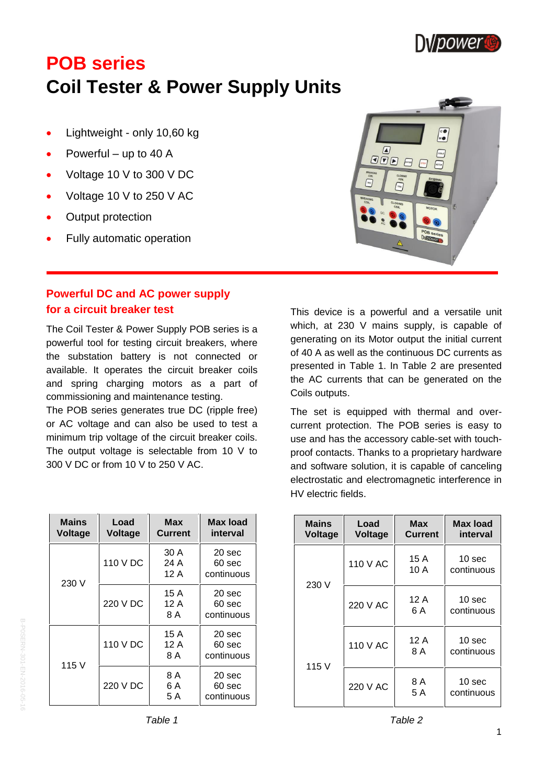

# **POB series Coil Tester & Power Supply Units**

- Lightweight only 10,60 kg
- Powerful up to 40 A
- Voltage 10 V to 300 V DC
- Voltage 10 V to 250 V AC
- Output protection
- Fully automatic operation

# **Powerful DC and AC power supply for a circuit breaker test**

The Coil Tester & Power Supply POB series is a powerful tool for testing circuit breakers, where the substation battery is not connected or available. It operates the circuit breaker coils and spring charging motors as a part of commissioning and maintenance testing.

The POB series generates true DC (ripple free) or AC voltage and can also be used to test a minimum trip voltage of the circuit breaker coils. The output voltage is selectable from 10 V to 300 V DC or from 10 V to 250 V AC.

| <b>Mains</b><br><b>Voltage</b> | Load<br><b>Voltage</b> | Max<br>Current       | Max load<br>interval           |
|--------------------------------|------------------------|----------------------|--------------------------------|
| 230 V                          | 110 V DC               | 30 A<br>24 A<br>12 A | 20 sec<br>60 sec<br>continuous |
|                                | 220 V DC               | 15 A<br>12 A<br>8 A  | 20 sec<br>60 sec<br>continuous |
| 115 V                          | 110 V DC               | 15 A<br>12 A<br>8 A  | 20 sec<br>60 sec<br>continuous |
|                                | 220 V DC               | 8 A<br>6 A<br>5 A    | 20 sec<br>60 sec<br>continuous |



This device is a powerful and a versatile unit which, at 230 V mains supply, is capable of generating on its Motor output the initial current of 40 A as well as the continuous DC currents as presented in Table 1. In Table 2 are presented the AC currents that can be generated on the Coils outputs.

The set is equipped with thermal and overcurrent protection. The POB series is easy to use and has the accessory cable-set with touchproof contacts. Thanks to a proprietary hardware and software solution, it is capable of canceling electrostatic and electromagnetic interference in HV electric fields.

| <b>Mains</b><br><b>Voltage</b> | Load<br><b>Voltage</b> | Max<br><b>Current</b> | Max load<br>interval            |
|--------------------------------|------------------------|-----------------------|---------------------------------|
|                                | 110 V AC               | 15 A<br>10 A          | 10 <sub>sec</sub><br>continuous |
| 230 V                          | 220 V AC               | 12 A<br>6 A           | 10 <sub>sec</sub><br>continuous |
| 115 V                          | 110 V AC               | 12 A<br>8 A           | 10 <sub>sec</sub><br>continuous |
|                                | 220 V AC               | 8 A<br>5 A            | 10 <sub>sec</sub><br>continuous |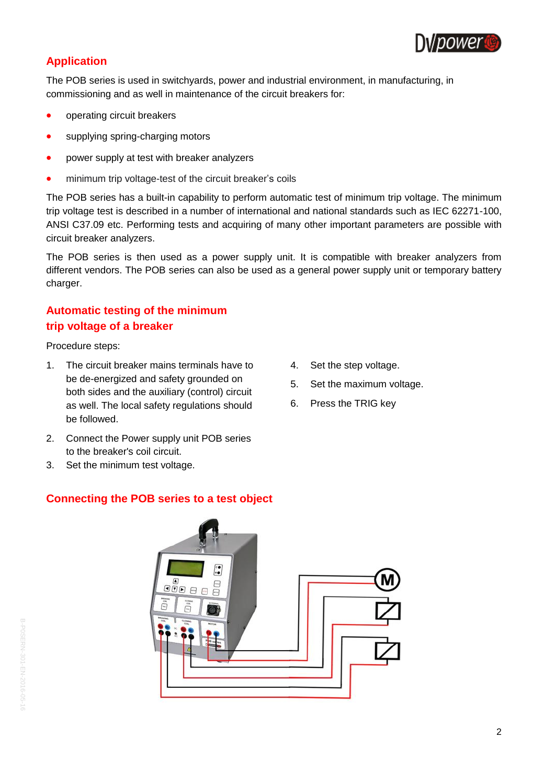

# **Application**

The POB series is used in switchyards, power and industrial environment, in manufacturing, in commissioning and as well in maintenance of the circuit breakers for:

- operating circuit breakers
- supplying spring-charging motors
- power supply at test with breaker analyzers
- minimum trip voltage-test of the circuit breaker's coils

The POB series has a built-in capability to perform automatic test of minimum trip voltage. The minimum trip voltage test is described in a number of international and national standards such as IEC 62271-100, ANSI C37.09 etc. Performing tests and acquiring of many other important parameters are possible with circuit breaker analyzers.

The POB series is then used as a power supply unit. It is compatible with breaker analyzers from different vendors. The POB series can also be used as a general power supply unit or temporary battery charger.

# **Automatic testing of the minimum trip voltage of a breaker**

Procedure steps:

- 1. The circuit breaker mains terminals have to be de-energized and safety grounded on both sides and the auxiliary (control) circuit as well. The local safety regulations should be followed.
- 2. Connect the Power supply unit POB series to the breaker's coil circuit.
- 3. Set the minimum test voltage.

### **Connecting the POB series to a test object**

- 4. Set the step voltage.
- 5. Set the maximum voltage.
- 6. Press the TRIG key

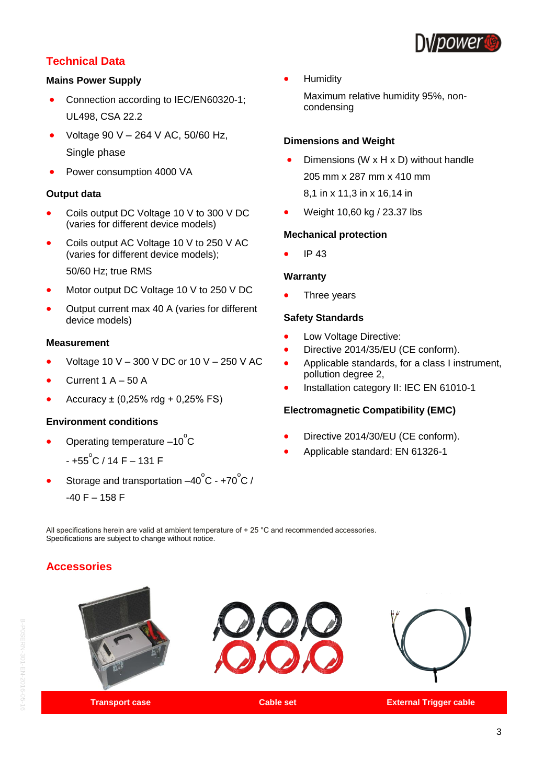

### **Technical Data**

#### **Mains Power Supply**

- Connection according to IEC/EN60320-1; UL498, CSA 22.2
- Voltage 90 V 264 V AC, 50/60 Hz, Single phase
- Power consumption 4000 VA

#### **Output data**

- Coils output DC Voltage 10 V to 300 V DC (varies for different device models)
- Coils output AC Voltage 10 V to 250 V AC (varies for different device models); 50/60 Hz; true RMS
- Motor output DC Voltage 10 V to 250 V DC
- Output current max 40 A (varies for different device models)

#### **Measurement**

- Voltage 10 V 300 V DC or 10 V 250 V AC
- Current  $1 A 50 A$
- Accuracy  $\pm$  (0,25% rdg + 0,25% FS)

#### **Environment conditions**

- Operating temperature  $-10^{\circ}$ C
	- +55<sup>°</sup>C / 14 F 131 F
- Storage and transportation  $-40^{\circ}$ C +70 $^{\circ}$ C /  $-40$  F  $- 158$  F

Humidity

Maximum relative humidity 95%, noncondensing

#### **Dimensions and Weight**

- Dimensions (W x H x D) without handle 205 mm x 287 mm x 410 mm 8,1 in x 11,3 in x 16,14 in
- Weight 10,60 kg / 23.37 lbs

#### **Mechanical protection**

IP 43

#### **Warranty**

Three years

#### **Safety Standards**

- Low Voltage Directive:
- Directive 2014/35/EU (CE conform).
- Applicable standards, for a class I instrument, pollution degree 2,
- Installation category II: IEC EN 61010-1

#### **Electromagnetic Compatibility (EMC)**

- Directive 2014/30/EU (CE conform).
- Applicable standard: EN 61326-1

All specifications herein are valid at ambient temperature of  $+25$  °C and recommended accessories. Specifications are subject to change without notice.

# **Accessories**

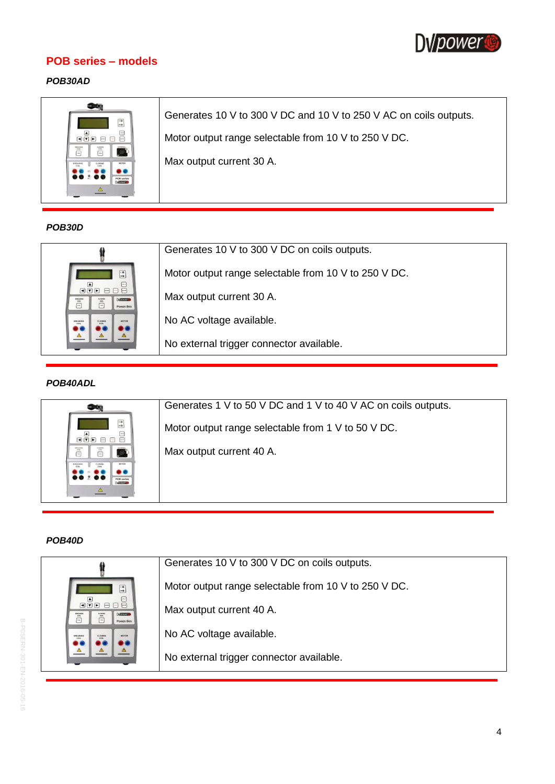

### **POB series – models**

### *POB30AD*

### *POB30D*

|                                                                                                                                                                                                                                                                                                                                                                                                                                                                                                                                                           | Generates 10 V to 300 V DC on coils outputs.         |
|-----------------------------------------------------------------------------------------------------------------------------------------------------------------------------------------------------------------------------------------------------------------------------------------------------------------------------------------------------------------------------------------------------------------------------------------------------------------------------------------------------------------------------------------------------------|------------------------------------------------------|
| $\begin{array}{ c } \hline \hline \hline \hline \hline \hline \hline \hline \hline \hline \end{array}$<br>$\begin{array}{ c } \hline \multicolumn{3}{ c }{} \multicolumn{3}{ c }{} \multicolumn{3}{ c }{} \multicolumn{3}{ c }{} \multicolumn{3}{ c }{} \multicolumn{3}{ c }{} \multicolumn{3}{ c }{} \multicolumn{3}{ c }{} \multicolumn{3}{ c }{} \multicolumn{3}{ c }{} \multicolumn{3}{ c }{} \multicolumn{3}{ c }{} \multicolumn{3}{ c }{} \multicolumn{3}{ c }{} \multicolumn{3}{ c }{} \multicolumn{3}{ c }{} \multicolumn{3}{ c }{} \multicolumn$ | Motor output range selectable from 10 V to 250 V DC. |
| <b>Difference</b><br>$rac{1}{100}$<br>$\Box$<br><b>POWER BOX</b>                                                                                                                                                                                                                                                                                                                                                                                                                                                                                          | Max output current 30 A.                             |
| MOTOR<br>BREAKING<br>CLOSING                                                                                                                                                                                                                                                                                                                                                                                                                                                                                                                              | No AC voltage available.                             |
|                                                                                                                                                                                                                                                                                                                                                                                                                                                                                                                                                           | No external trigger connector available.             |

### *POB40ADL*

| æ                                                                                                                                                                                                                                                                                                                                                                                           | Generates 1 V to 50 V DC and 1 V to 40 V AC on coils outputs. |
|---------------------------------------------------------------------------------------------------------------------------------------------------------------------------------------------------------------------------------------------------------------------------------------------------------------------------------------------------------------------------------------------|---------------------------------------------------------------|
| $\frac{1}{10}$<br>▲<br>$\boxed{\blacksquare}$                                                                                                                                                                                                                                                                                                                                               | Motor output range selectable from 1 V to 50 V DC.            |
| $\begin{matrix} \overbrace{\hspace{15mm}} \rule{15mm}{2.5mm} \rule{15mm}{2.5mm} \rule{15mm}{2.5mm} \rule{15mm}{2.5mm} \rule{15mm}{2.5mm} \rule{15mm}{2.5mm} \rule{15mm}{2.5mm} \rule{15mm}{2.5mm} \rule{15mm}{2.5mm} \rule{15mm}{2.5mm} \rule{15mm}{2.5mm} \rule{15mm}{2.5mm} \rule{15mm}{2.5mm} \rule{15mm}{2.5mm} \rule{15mm}{2.5mm} \rule{15mm}{2.5mm} \rule{15mm}{2.5mm}$<br><b>COR</b> | Max output current 40 A.                                      |
| <b>POR series</b><br><b><i><u>DAVARDANTE</u></i></b>                                                                                                                                                                                                                                                                                                                                        |                                                               |

### *POB40D*

|                                                                           | Generates 10 V to 300 V DC on coils outputs.         |
|---------------------------------------------------------------------------|------------------------------------------------------|
| $\begin{matrix} 1 & 0 \\ 0 & 0 \end{matrix}$<br>$\Box$<br>◚               | Motor output range selectable from 10 V to 250 V DC. |
| $\boxed{\blacksquare}$<br><b>Durances</b><br>LOSIM<br>$\Box$<br>POWER BOX | Max output current 40 A.                             |
| MOTOR<br>BREAKIN                                                          | No AC voltage available.                             |
|                                                                           | No external trigger connector available.             |